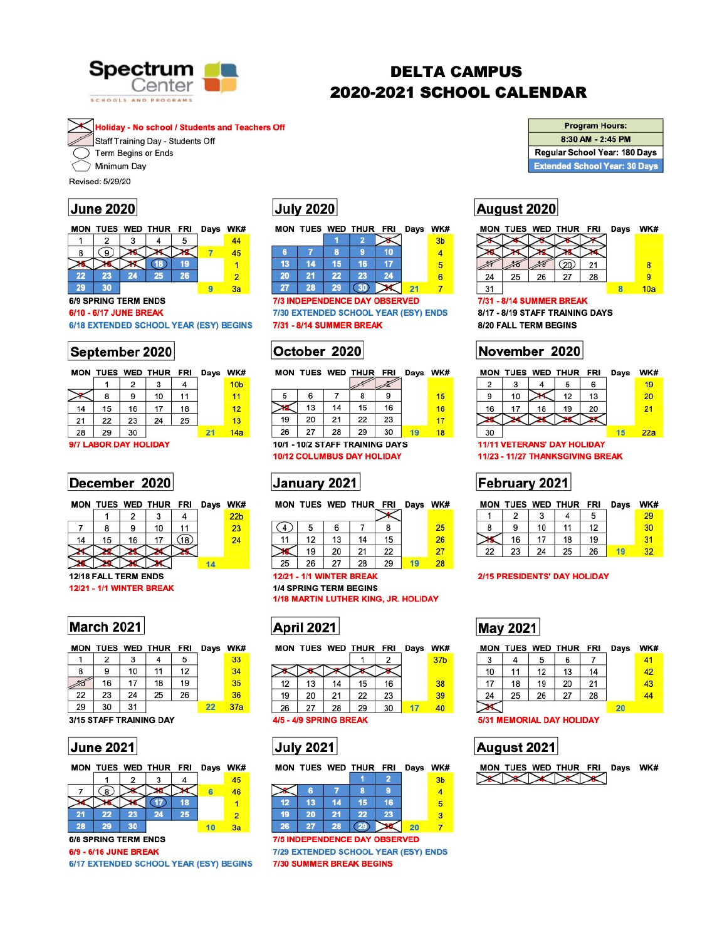

# **DELTA CAMPUS** 2020-2021 SCHOOL CALENDAR

**Holiday - No school / Students and Teachers Off** 



Term Begins or Ends Minimum Day

Revised: 5/29/20

### **June 2020**

|    |    |    | MON TUES WED THUR FRI |    | Days | WK# |
|----|----|----|-----------------------|----|------|-----|
|    |    |    |                       |    |      | 44  |
| 8  |    |    |                       |    |      | 45  |
|    |    |    |                       |    |      |     |
| 22 | 23 | 24 | 257                   | 26 |      | 2   |
| 29 | रा |    |                       |    |      | 3я  |

### **6/9 SPRING TERM ENDS**

### 6/10 - 6/17 JUNE BREAK

6/18 EXTENDED SCHOOL YEAR (ESY) BEGINS

### September 2020

|    |    |    |    | Days                  | <b>WK</b>       |
|----|----|----|----|-----------------------|-----------------|
|    | 2  |    |    |                       | 10 <sub>b</sub> |
| 8  | 9  | 10 | 11 |                       | 11              |
| 15 | 16 | 17 | 18 |                       | 12              |
| 22 | 23 | 24 | 25 |                       | 13              |
| 29 | 30 |    |    | 21                    | 14 <sub>5</sub> |
|    |    |    |    | MON TUES WED THUR FRI |                 |

### 9/7 LABOR DAY HOLIDAY

### December 2020

|  |   | MON TUES WED THUR FRI Days WK# |  |                 |
|--|---|--------------------------------|--|-----------------|
|  |   |                                |  | 22 <sub>b</sub> |
|  | g | 10                             |  |                 |

# **July 2020**

|    |    |    | MON TUES WED THUR FRI Days WK# |    |                |
|----|----|----|--------------------------------|----|----------------|
|    |    |    |                                |    | 3 <sub>b</sub> |
| 6  |    | 8  |                                |    |                |
| 13 | 14 | 15 | 16                             |    | 5              |
| 20 | 21 | 22 | 23                             | 24 |                |
|    | 28 | 29 |                                |    |                |

**7/3 INDEPENDENCE DAY OBSERVED** 7/30 EXTENDED SCHOOL YEAR (ESY) ENDS 7/31 - 8/14 SUMMER BREAK

## October 2020

|    |    |    |    | Days                  | <b>WK#</b> |
|----|----|----|----|-----------------------|------------|
|    |    |    |    |                       |            |
| 6  |    | 8  |    |                       | 15         |
| 13 | 14 | 15 | 16 |                       | 16         |
| 20 | 21 | 22 | 23 |                       | 17         |
| 27 | 28 | 29 | 30 |                       | 18         |
|    |    |    |    | MON TUES WED THUR FRI |            |

10/1 - 10/2 STAFF TRAINING DAYS **10/12 COLUMBUS DAY HOLIDAY** 

# January 2021



### **Program Hours:** 8:30 AM - 2:45 PM Regular School Year: 180 Days **Extended School Year: 30 Days**

### August 2020

|    |    |    |    | Days | WK#                   |
|----|----|----|----|------|-----------------------|
|    |    |    |    |      |                       |
|    |    |    |    |      |                       |
|    |    |    |    |      | 8                     |
| 25 | 26 | 27 | 28 |      |                       |
|    |    |    |    |      | 10a                   |
|    |    |    |    |      | MON TUES WED THUR FRI |

### 7/31 - 8/14 SUMMER BREAK

8/17 - 8/19 STAFF TRAINING DAYS 8/20 FALL TERM BEGINS

# November 2020

|    |    |    | MON TUES WED THUR FRI              |    | Days | WK# |
|----|----|----|------------------------------------|----|------|-----|
| 2  |    |    | 5                                  | 6  |      | 19  |
| 9  | 10 |    | 12                                 | 13 |      | 20  |
| 16 | 17 | 18 | 19                                 | 20 |      | 21  |
|    |    |    |                                    |    |      |     |
| 30 |    |    |                                    |    | 15   | 22a |
|    |    |    | <b>11/11 VETERANS' DAY HOLIDAY</b> |    |      |     |

11/23 - 11/27 THANKSGIVING BREAK

## February 2021

|  |    | MON TUES WED THUR FRI Days WK# |    |  |
|--|----|--------------------------------|----|--|
|  |    |                                |    |  |
|  | 10 | 11                             | 12 |  |



### **March 2021**

|    |    |    | MON TUES WED THUR FRI |    | Days WK |     |
|----|----|----|-----------------------|----|---------|-----|
|    | 2  | 3  |                       | 5  |         | 33  |
| 8  | 9  | 10 | 11                    | 12 |         | 34  |
|    | 16 | 17 | 18                    | 19 |         | 35  |
| 22 | 23 | 24 | 25                    | 26 |         | 36  |
| 29 | 30 | 31 |                       |    | 22      | 37a |

### 3/15 STAFF TRAINING DAY

### **June 2021**

![](_page_0_Picture_39.jpeg)

### **6/8 SPRING TERM ENDS**

6/9 - 6/16 JUNE BREAK

6/17 EXTENDED SCHOOL YEAR (ESY) BEGINS

| 11     | 12 | 13 <sub>1</sub>   | $-14$           | 15                                | 26 |
|--------|----|-------------------|-----------------|-----------------------------------|----|
| $\sim$ |    | $19 \mid 20 \mid$ | 21 <sub>1</sub> | $\begin{array}{c} 22 \end{array}$ |    |
| 25     | 26 | .27               | 28              | 29                                | 28 |

### **12/21 - 1/1 WINTER BREAK 1/4 SPRING TERM BEGINS** 1/18 MARTIN LUTHER KING, JR. HOLIDAY

# **April 2021**

![](_page_0_Figure_46.jpeg)

4/5 - 4/9 SPRING BREAK

## **July 2021**

|    |    |    | MON TUES WED THUR FRI |    | Days WK |                |
|----|----|----|-----------------------|----|---------|----------------|
|    |    |    |                       |    |         | 3 <sub>b</sub> |
|    | 6  |    | я                     |    |         |                |
| 12 | 13 | 14 | 15                    | 16 |         |                |
| 19 | 20 | 21 | 22                    | 23 |         | з              |
| 26 | 27 | 28 | 29                    |    | 20      |                |

**7/5 INDEPENDENCE DAY OBSERVED** 7/29 EXTENDED SCHOOL YEAR (ESY) ENDS 7/30 SUMMER BREAK BEGINS

| 16 17 18       |  |  |                            |
|----------------|--|--|----------------------------|
| 22 23 24 25 26 |  |  | <b>The State of Street</b> |

### 2/15 PRESIDENTS' DAY HOLIDAY

# **May 2021**

|    |    |    | MON TUES WED THUR FRI |    | Days | WK# |
|----|----|----|-----------------------|----|------|-----|
| 3  |    | 5  | 6                     |    |      | 41  |
| 10 | 11 | 12 | 13                    | 14 |      | 42  |
| 17 | 18 | 19 | 20                    | 21 |      | 43  |
| 24 | 25 | 26 | 27                    | 28 |      | 44  |
|    |    |    |                       |    | 20   |     |

### **5/31 MEMORIAL DAY HOLIDAY**

## August 2021

|               |  | MON TUES WED THUR FRI Days WK# |  |  |
|---------------|--|--------------------------------|--|--|
| $\rightarrow$ |  |                                |  |  |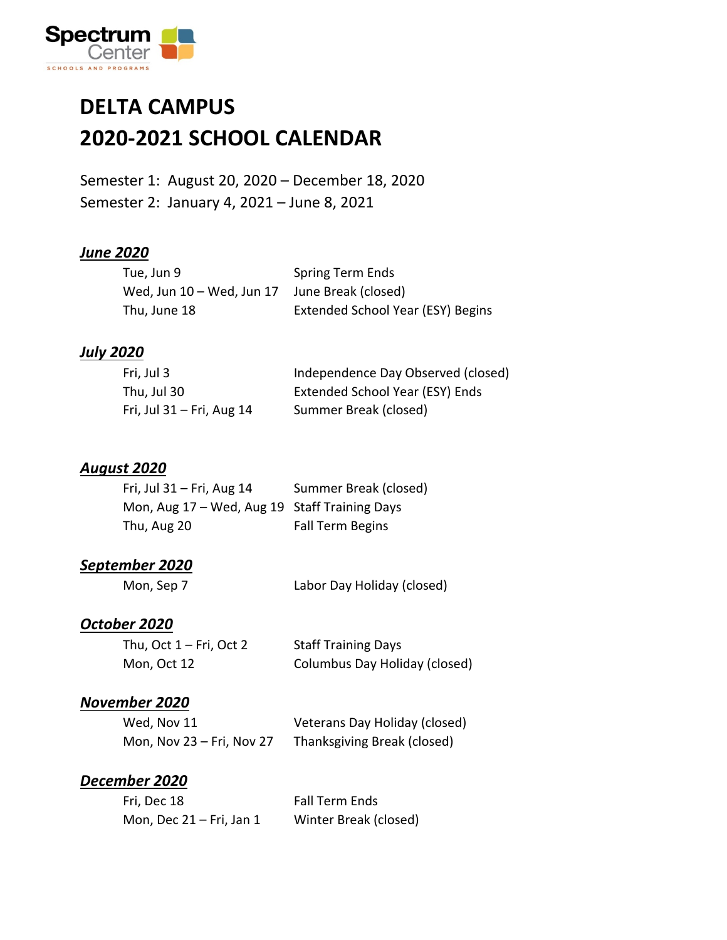![](_page_1_Picture_0.jpeg)

### **DELTA CAMPUS 2020-2021 SCHOOL CALENDAR**

Semester 1: August 20, 2020 – December 18, 2020 Semester 2: January 4, 2021 – June 8, 2021

#### *June 2020*

| Tue, Jun 9                                    | Spring Term Ends                  |
|-----------------------------------------------|-----------------------------------|
| Wed, Jun 10 - Wed, Jun 17 June Break (closed) |                                   |
| Thu, June 18                                  | Extended School Year (ESY) Begins |

#### *July 2020*

| Fri, Jul 3                  | Independence Day Observed (closed) |
|-----------------------------|------------------------------------|
| Thu, Jul 30                 | Extended School Year (ESY) Ends    |
| Fri, Jul $31$ – Fri, Aug 14 | Summer Break (closed)              |

#### *August 2020*

| Fri, Jul $31$ – Fri, Aug 14                   | Summer Break (closed)   |
|-----------------------------------------------|-------------------------|
| Mon, Aug 17 - Wed, Aug 19 Staff Training Days |                         |
| Thu, Aug 20                                   | <b>Fall Term Begins</b> |

#### *September 2020*

Mon, Sep 7 Labor Day Holiday (closed)

#### *October 2020*

| Thu, Oct $1 - Fri$ , Oct 2 | <b>Staff Training Days</b>    |
|----------------------------|-------------------------------|
| Mon, Oct 12                | Columbus Day Holiday (closed) |

#### *November 2020*

| Wed, Nov 11                 | Veterans Day Holiday (closed) |
|-----------------------------|-------------------------------|
| Mon, Nov $23$ – Fri, Nov 27 | Thanksgiving Break (closed)   |

#### *December 2020*

| Fri, Dec 18                | Fall Term Ends        |
|----------------------------|-----------------------|
| Mon, Dec $21$ – Fri, Jan 1 | Winter Break (closed) |